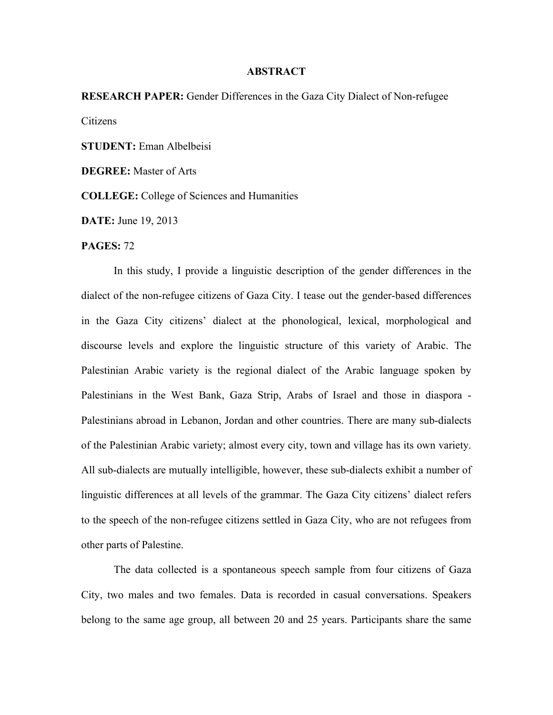## **ABSTRACT**

**RESEARCH PAPER:** Gender Differences in the Gaza City Dialect of Non-refugee Citizens **STUDENT:** Eman Albelbeisi

**DEGREE:** Master of Arts

**COLLEGE:** College of Sciences and Humanities

**DATE:** June 19, 2013

## **PAGES:** 72

In this study, I provide a linguistic description of the gender differences in the dialect of the non-refugee citizens of Gaza City. I tease out the gender-based differences in the Gaza City citizens' dialect at the phonological, lexical, morphological and discourse levels and explore the linguistic structure of this variety of Arabic. The Palestinian Arabic variety is the regional dialect of the Arabic language spoken by Palestinians in the West Bank, Gaza Strip, Arabs of Israel and those in diaspora - Palestinians abroad in Lebanon, Jordan and other countries. There are many sub-dialects of the Palestinian Arabic variety; almost every city, town and village has its own variety. All sub-dialects are mutually intelligible, however, these sub-dialects exhibit a number of linguistic differences at all levels of the grammar. The Gaza City citizens' dialect refers to the speech of the non-refugee citizens settled in Gaza City, who are not refugees from other parts of Palestine.

The data collected is a spontaneous speech sample from four citizens of Gaza City, two males and two females. Data is recorded in casual conversations. Speakers belong to the same age group, all between 20 and 25 years. Participants share the same